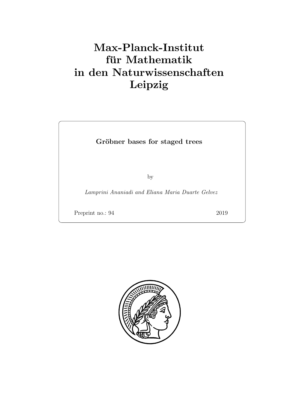# Max-Planck-Institut für Mathematik in den Naturwissenschaften Leipzig

Gröbner bases for staged trees

by

Lamprini Ananiadi and Eliana Maria Duarte Gelvez

Preprint no.: 94 2019

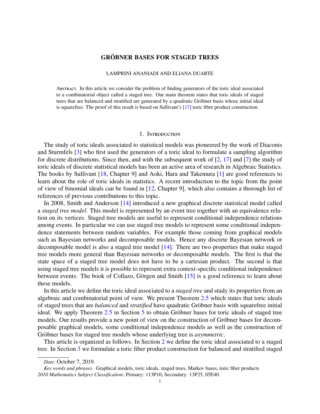## **GRÖBNER BASES FOR STAGED TREES**

#### LAMPRINI ANANIADI AND ELIANA DUARTE

Abstract. In this article we consider the problem of finding generators of the toric ideal associated to a combinatorial object called a staged tree. Our main theorem states that toric ideals of staged trees that are balanced and stratified are generated by a quadratic Gröbner basis whose initial ideal is squarefree. The proof of this result is based on Sullivant's [\[17\]](#page-18-0) toric fiber product construction.

#### 1. Introduction

The study of toric ideals associated to statistical models was pioneered by the work of Diaconis and Sturmfels [\[3\]](#page-17-0) who first used the generators of a toric ideal to formulate a sampling algorithm for discrete distributions. Since then, and with the subsequent work of [\[2,](#page-17-1) [17\]](#page-18-0) and [\[7\]](#page-17-2) the study of toric ideals of discrete statistical models has been an active area of research in Algebraic Statistics. The books by Sullivant [\[18,](#page-18-1) Chapter 9] and Aoki, Hara and Takemura [\[1\]](#page-17-3) are good references to learn about the role of toric ideals in statistics. A recent introduction to the topic from the point of view of binomial ideals can be found in [\[12,](#page-18-2) Chapter 9], which also contains a thorough list of references of previous contributions to this topic.

In 2008, Smith and Anderson [\[14\]](#page-18-3) introduced a new graphical discrete statistical model called a *staged tree model*. This model is represented by an event tree together with an equivalence relation on its vertices. Staged tree models are useful to represent conditional independence relations among events. In particular we can use staged tree models to represent some conditional independence statements between random variables. For example those coming from graphical models such as Bayesian networks and decomposable models. Hence any discrete Bayesian network or decomposable model is also a staged tree model [\[14\]](#page-18-3). There are two properties that make staged tree models more general than Bayesian networks or decomposable models. The first is that the state space of a staged tree model does not have to be a cartesian product. The second is that using staged tree models it is possible to represent extra context-specific conditional independence between events. The book of Collazo, Görgen and Smith  $[15]$  $[15]$  is a good reference to learn about these models.

In this article we define the toric ideal associated to a *staged tree* and study its properties from an algebraic and combinatorial point of view. We present Theorem [2.5](#page-4-0) which states that toric ideals of staged trees that are *balanced* and *stratified* have quadratic Gröbner basis with squarefree initial ideal. We apply Theorem  $2.5$  in Section [5](#page-12-0) to obtain Gröbner bases for toric ideals of staged tree models. Our results provide a new point of view on the construction of Gröbner bases for decomposable graphical models, some conditional independence models as well as the construction of Gröbner bases for staged tree models whose underlying tree is *asymmetric*.

This article is organized as follows. In Section [2](#page-3-0) we define the toric ideal associated to a staged tree. In Section [3](#page-6-0) we formulate a toric fiber product construction for balanced and stratified staged

*Date*: October 7, 2019.

*Key words and phrases.* Graphical models, toric ideals, staged trees, Markov bases, toric fiber products *2010 Mathematics Subject Classification*: Primary: 113P10; Secondary: 13P25, 05E40.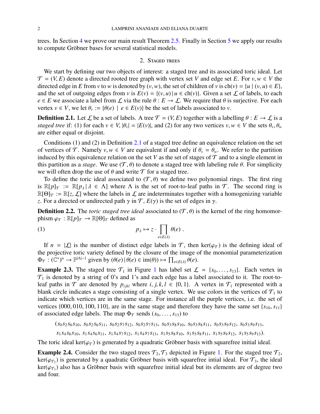trees. In Section [4](#page-8-0) we prove our main result Theorem [2.5.](#page-4-0) Finally in Section [5](#page-12-0) we apply our results to compute Gröbner bases for several statistical models.

### 2. Staged trees

<span id="page-3-0"></span>We start by defining our two objects of interest: a staged tree and its associated toric ideal. Let  $\mathcal{T} = (V, E)$  denote a directed rooted tree graph with vertex set *V* and edge set *E*. For *v*, *w*  $\in$  *V* the directed edge in *E* from *v* to *w* is denoted by  $(v, w)$ , the set of children of *v* is ch $(v) = \{u \mid (v, u) \in E\}$ , and the set of outgoing edges from *v* is  $E(v) = \{(v, u) | u \in ch(v)\}\)$ . Given a set  $\mathcal L$  of labels, to each  $e \in E$  we associate a label from  $\mathcal L$  via the rule  $\theta : E \to \mathcal L$ . We require that  $\theta$  is surjective. For each vertex  $v \in V$ , we let  $\theta_v := {\theta(e) \mid e \in E(v)}$  be the set of labels associated to *v*.

<span id="page-3-1"></span>**Definition 2.1.** Let  $\mathcal{L}$  be a set of labels. A tree  $\mathcal{T} = (V, E)$  together with a labelling  $\theta : E \to \mathcal{L}$  is a *staged tree* if: (1) for each  $v \in V$ ,  $|\theta_v| = |E(v)|$ , and (2) for any two vertices  $v, w \in V$  the sets  $\theta_v, \theta_w$ are either equal or disjoint.

Conditions (1) and (2) in Definition [2.1](#page-3-1) of a staged tree define an equivalence relation on the set of vertices of T. Namely  $v, w \in V$  are equivalent if and only if  $\theta_v = \theta_w$ . We refer to the partition induced by this equivalence relation on the set *V* as the set of stages of  $\mathcal T$  and to a single element in this partition as a *stage*. We use  $(\mathcal{T}, \theta)$  to denote a staged tree with labeling rule  $\theta$ . For simplicity we will often drop the use of  $\theta$  and write  $\mathcal T$  for a staged tree.

To define the toric ideal associated to  $(\mathcal{T}, \theta)$  we define two polynomial rings. The first ring is  $\mathbb{R}[p]_T := \mathbb{R}[p_\lambda | \lambda \in \Lambda]$  where  $\Lambda$  is the set of root-to-leaf paths in  $\mathcal{T}$ . The second ring is  $\mathbb{R}[\Theta]_T := \mathbb{R}[z, \mathcal{L}]$  where the labels in  $\mathcal L$  are indeterminates together with a homogenizing variable *z*. For a directed or undirected path  $\gamma$  in  $\mathcal{T}$ ,  $E(\gamma)$  is the set of edges in  $\gamma$ .

<span id="page-3-2"></span>**Definition 2.2.** The *toric staged tree ideal* associated to  $(\mathcal{T}, \theta)$  is the kernel of the ring homomorphism  $\varphi_{\mathcal{T}} : \mathbb{R}[p]_{\mathcal{T}} \to \mathbb{R}[\Theta]_{\mathcal{T}}$  defined as

(1) 
$$
p_{\lambda} \mapsto z \cdot \prod_{e \in E(\lambda)} \theta(e) .
$$

If  $n = |\mathcal{L}|$  is the number of distinct edge labels in  $\mathcal{T}$ , then ker( $\varphi_{\mathcal{T}}$ ) is the defining ideal of projective toric variety defined by the closure of the image of the monomial parameterization the projective toric variety defined by the closure of the image of the monomial parameterization  $\Phi_{\mathcal{T}} : (\mathbb{C}^*)^n \to \mathbb{P}^{|\Lambda|-1}$  given by  $(\theta(e) | \theta(e) \in \text{im}(\theta)) \mapsto \prod_{e \in E(\lambda)} \theta(e)$ .

**Example 2.3.** The staged tree  $\mathcal{T}_1$  $\mathcal{T}_1$  in Figure 1 has label set  $\mathcal{L} = \{s_0, \ldots, s_{13}\}\$ . Each vertex in  $\mathcal{T}_1$  is denoted by a string of 0's and 1's and each edge has a label associated to it. The root-toleaf paths in  $\mathcal T$  are denoted by  $p_{ijkl}$  where *i*, *j*, *k*,  $l \in \{0, 1\}$ . A vertex in  $\mathcal T_1$  represented with a blank circle indicates a stage consisting of a single vertex. We use colors in the vertices of  $\mathcal{T}_1$  to indicate which vertices are in the same stage. For instance all the purple vertices, i.e. the set of vertices  $\{000, 010, 100, 110\}$ , are in the same stage and therefore they have the same set  $\{s_{10}, s_{11}\}$ of associated edge labels. The map  $\Phi_{\mathcal{T}}$  sends  $(s_0, \ldots, s_{13})$  to

$$
(s_0s_2s_6s_{10}, s_0s_2s_6s_{11}, s_0s_2s_7s_{12}, s_0s_2s_7s_{13}, s_0s_3s_8s_{10}, s_0s_3s_8s_{11}, s_0s_3s_9s_{12}, s_0s_3s_9s_{13},
$$

$$
s_1 s_4 s_6 s_{10}, s_1 s_4 s_6 s_{11}, s_1 s_4 s_7 s_{12}, s_1 s_4 s_7 s_{13}, s_1 s_5 s_8 s_{10}, s_1 s_5 s_8 s_{11}, s_1 s_5 s_9 s_{12}, s_1 s_5 s_9 s_{13}).
$$

The toric ideal ker( $\varphi_T$ ) is generated by a quadratic Gröbner basis with squarefree initial ideal.

**Example 2.4.** Consider the two staged trees  $\mathcal{T}_2$ ,  $\mathcal{T}_3$  depicted in Figure [1.](#page-4-1) For the staged tree  $\mathcal{T}_2$ ,  $ker(\varphi_{\tau_2})$  is generated by a quadratic Gröbner basis with squarefree intial ideal. For  $\tau_3$ , the ideal<br>ker( $\varphi_{\tau_2}$ ) also has a Gröbner basis with squarefree initial ideal but its elements are of degree two  $\ker(\varphi_{\tau_3})$  also has a Gröbner basis with squarefree initial ideal but its elements are of degree two and four and four.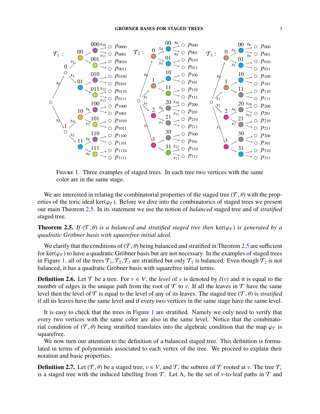

<span id="page-4-1"></span>FIGURE 1. Three examples of staged trees. In each tree two vertices with the same color are in the same stage.

We are interested in relating the combinatorial properties of the staged tree  $(\mathcal{T}, \theta)$  with the properties of the toric ideal ker( $\varphi_{\tau}$ ). Before we dive into the combinatorics of staged trees we present our main Theorem [2.5.](#page-4-0) In its statement we use the notion of *balanced* staged tree and of *stratified* staged tree.

<span id="page-4-0"></span>**Theorem 2.5.** *If*  $(\mathcal{T}, \theta)$  *is a balanced and stratified staged tree then* ker( $\varphi_{\mathcal{T}}$ ) *is generated by a quadratic Gr ¨obner basis with squarefree initial ideal.*

We clarify that the conditions of  $(T, \theta)$  being balanced and stratified in Theorem [2.5](#page-4-0) are sufficient for ker( $\varphi_{\tau}$ ) to have a quadratic Gröbner basis but are not necessary. In the examples of staged trees in Figure [1,](#page-4-1) all of the trees  $\mathcal{T}_1, \mathcal{T}_2, \mathcal{T}_3$  are stratified but only  $\mathcal{T}_1$  is balanced. Even though  $\mathcal{T}_2$  is not balanced, it has a quadratic Gröbner basis with squarefree initial terms.

**Definition 2.6.** Let T be a tree. For  $v \in V$ , the *level* of v is denoted by  $\ell(v)$  and it is equal to the number of edges in the unique path from the root of  $\mathcal T$  to *v*. If all the leaves in  $\mathcal T$  have the same level then the level of  $\mathcal T$  is equal to the level of any of its leaves. The staged tree  $(\mathcal T, \theta)$  is *stratified* if all its leaves have the same level and if every two vertices in the same stage have the same level.

It is easy to check that the trees in Figure [1](#page-4-1) are stratified. Namely we only need to verify that every two vertices with the same color are also in the same level. Notice that the combinatorial condition of (T,  $\theta$ ) being stratified translates into the algebraic condition that the map  $\varphi$ <sub>T</sub> is squarefree.

We now turn our attention to the definition of a balanced staged tree. This definition is formulated in terms of polynomials associated to each vertex of the tree. We proceed to explain their notation and basic properties.

**Definition 2.7.** Let  $(\mathcal{T}, \theta)$  be a staged tree,  $v \in V$ , and  $\mathcal{T}_v$  the subtree of  $\mathcal T$  rooted at *v*. The tree  $\mathcal{T}_v$  is a staged tree with the induced labelling from  $\mathcal T$ . Let  $\Lambda$ , be the set of *v*-to-leaf p is a staged tree with the induced labelling from  $\mathcal T$ . Let  $\Lambda_\nu$  be the set of *v*-to-leaf paths in  $\mathcal T$  and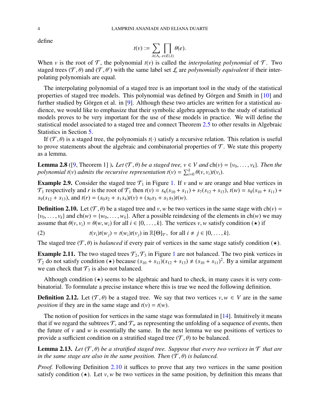define

$$
t(v) := \sum_{\lambda \in \Lambda_v} \prod_{e \in E(\lambda)} \theta(e).
$$

When *v* is the root of  $\mathcal{T}$ , the polynomial  $t(v)$  is called the *interpolating polynomial* of  $\mathcal{T}$ . Two staged trees  $(\mathcal{T}, \theta)$  and  $(\mathcal{T}, \theta')$  with the same label set  $\mathcal L$  are *polynomially equivalent* if their inter-<br>polating polynomials are equal polating polynomials are equal.

The interpolating polynomial of a staged tree is an important tool in the study of the statistical properties of staged tree models. This polynomial was defined by Görgen and Smith in  $[10]$  $[10]$  and further studied by Görgen et al. in [[9\]](#page-17-5). Although these two articles are written for a statistical audience, we would like to emphasize that their symbolic algebra approach to the study of statistical models proves to be very important for the use of these models in practice. We will define the statistical model associated to a staged tree and connect Theorem [2.5](#page-4-0) to other results in Algebraic Statistics in Section [5.](#page-12-0)

If  $(\mathcal{T}, \theta)$  is a staged tree, the polynomials  $t(\cdot)$  satisfy a recursive relation. This relation is useful to prove statements about the algebraic and combinatorial properties of  $\mathcal T$ . We state this property as a lemma.

<span id="page-5-1"></span>**Lemma 2.8** ([\[9,](#page-17-5) Theorem 1]). Let  $(\mathcal{T}, \theta)$  be a staged tree,  $v \in V$  and  $\text{ch}(v) = \{v_0, \ldots, v_k\}$ . Then the *polynomial*  $t(v)$  *admits the recursive representation*  $t(v) = \sum_{i=0}^{k} \theta(v, v_i) t(v_i)$ .

**Example 2.9.** Consider the staged tree  $\mathcal{T}_1$  in Figure [1.](#page-4-1) If *v* and *w* are orange and blue vertices in  $\mathcal{T}_1$  respectively and *r* is the root of  $\mathcal{T}_1$  then  $t(v) = s_6(s_{10} + s_{11}) + s_7(s_{12} + s_{13}), t(w) = s_8(s_{10} + s_{11}) + s_9(s_{11} + s_{12})$  $s_9(s_{12} + s_{13})$ , and  $t(r) = (s_0 s_2 + s_1 s_4)t(v) + (s_0 s_3 + s_1 s_5)t(w)$ .

<span id="page-5-0"></span>**Definition 2.10.** Let  $(T, \theta)$  be a staged tree and *v*, *w* be two vertices in the same stage with ch(*v*) =  $\{v_0, \ldots, v_k\}$  and  $ch(w) = \{w_0, \ldots, w_k\}$ . After a possible reindexing of the elements in  $ch(w)$  we may assume that  $\theta(v, v_i) = \theta(w, w_i)$  for all  $i \in \{0, \ldots, k\}$ . The vertices *v*, *w* satisfy condition ( $\star$ ) if

<span id="page-5-2"></span>(2) 
$$
t(v_i)t(w_j) = t(w_i)t(v_j) \text{ in } \mathbb{R}[\Theta]_{\mathcal{T}}, \text{ for all } i \neq j \in \{0, ..., k\}.
$$

The staged tree  $(\mathcal{T}, \theta)$  is *balanced* if every pair of vertices in the same stage satisfy condition ( $\star$ ).

**Example 2.[1](#page-4-1)1.** The two staged trees  $\mathcal{T}_2$ ,  $\mathcal{T}_3$  in Figure 1 are not balanced. The two pink vertices in  $\mathcal{T}_2$  do not satisfy condition ( $\star$ ) because  $(s_{10} + s_{11})(s_{12} + s_{13}) \neq (s_{10} + s_{11})^2$ . By a similar argument we can check that  $\mathcal{T}_2$  is also not balanced we can check that  $\mathcal{T}_3$  is also not balanced.

Although condition  $(\star)$  seems to be algebraic and hard to check, in many cases it is very combinatorial. To formulate a precise instance where this is true we need the following definition.

**Definition 2.12.** Let  $(T, \theta)$  be a staged tree. We say that two vertices  $v, w \in V$  are in the same *position* if they are in the same stage and  $t(v) = t(w)$ .

The notion of position for vertices in the same stage was formulated in [\[14\]](#page-18-3). Intuitively it means that if we regard the subtrees  $\mathcal{T}_v$  and  $\mathcal{T}_w$  as representing the unfolding of a sequence of events, then the future of  $\nu$  and  $w$  is essentially the same. In the next lemma we use positions of vertices to provide a sufficient condition on a stratified staged tree  $(\mathcal{T}, \theta)$  to be balanced.

**Lemma 2.13.** Let  $(\mathcal{T}, \theta)$  be a stratified staged tree. Suppose that every two vertices in  $\mathcal{T}$  that are *in the same stage are also in the same position. Then*  $(\mathcal{T}, \theta)$  *is balanced.* 

*Proof.* Following Definition [2.10](#page-5-0) it suffices to prove that any two vertices in the same position satisfy condition  $(\star)$ . Let *v*, *w* be two vertices in the same position, by definition this means that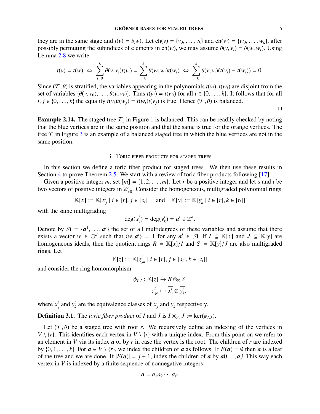they are in the same stage and  $t(v) = t(w)$ . Let  $\text{ch}(v) = \{v_0, \ldots, v_k\}$  and  $\text{ch}(w) = \{w_0, \ldots, w_k\}$ , after possibly permuting the subindices of elements in ch(*w*), we may assume  $\theta(v, v_i) = \theta(w, w_i)$ . Using Lemma [2.8](#page-5-1) we write

$$
t(v) = t(w) \Leftrightarrow \sum_{i=0}^k \theta(v, v_i) t(v_i) = \sum_{i=0}^k \theta(w, w_i) t(w_i) \Leftrightarrow \sum_{i=0}^k \theta(v, v_i) (t(v_i) - t(w_i)) = 0.
$$

Since  $(T, \theta)$  is stratified, the variables appearing in the polynomials  $t(v_i)$ ,  $t(w_i)$  are disjoint from the set of variables  $\{\theta(v, v_0), \dots, \theta(v, v_k)\}$ . Thus  $t(v_i) = t(w_i)$  for all  $i \in \{0, \dots, k\}$ . It follows that for all  $i, j \in \{0, \ldots, k\}$  the equality  $t(v_i)t(w_i) = t(w_i)t(v_i)$  is true. Hence  $(\mathcal{T}, \theta)$  is balanced.

**Example 2.[1](#page-4-1)4.** The staged tree  $\mathcal{T}_1$  in Figure 1 is balanced. This can be readily checked by noting that the blue vertices are in the same position and that the same is true for the orange vertices. The tree  $\tau$  in Figure [3](#page-16-0) is an example of a balanced staged tree in which the blue vertices are not in the same position.

#### 3. Toric fiber products for staged trees

<span id="page-6-0"></span>In this section we define a toric fiber product for staged trees. We then use these results in Section [4](#page-8-0) to prove Theorem [2.5.](#page-4-0) We start with a review of toric fiber products following [\[17\]](#page-18-0).

Given a positive integer *m*, set  $[m] = \{1, 2, \ldots, m\}$ . Let *r* be a positive integer and let *s* and *t* be two vectors of positive integers in Z *r*  $\int_{0}^{r}$ . Consider the homogeneous, multigraded polynomial rings

$$
\mathbb{K}[x] := \mathbb{K}[x_j^i \mid i \in [r], j \in [s_i]] \quad \text{and} \quad \mathbb{K}[y] := \mathbb{K}[y_k^i \mid i \in [r], k \in [t_i]]
$$

with the same multigrading

$$
\deg(x_j^i) = \deg(y_k^i) = a^i \in \mathbb{Z}^d.
$$

Denote by  $\mathcal{A} = \{a^1, \dots, a^r\}$  the set of all multidegrees of these variables and assume that there exists a vector  $w \in \mathbb{Q}^d$  such that  $\langle w, a^i \rangle = 1$  for any  $a^i \in \mathcal{A}$ . If  $I \subset \mathbb{K}[\chi]$  and  $I \subset \mathbb{K}[\chi]$  are exists a vector  $w \in \mathbb{Q}^d$  such that  $\langle w, a^i \rangle = 1$  for any  $a^i \in \mathcal{A}$ . If  $I \subseteq \mathbb{K}[x]$  and  $J \subseteq \mathbb{K}[y]$  are bomogeneous ideals, then the quotient rings  $R - \mathbb{K}[x]/I$  and  $S - \mathbb{K}[y]/I$  are also multigraded homogeneous ideals, then the quotient rings  $R = \mathbb{K}[x]/I$  and  $S = \mathbb{K}[y]/J$  are also multigraded rings. Let

$$
\mathbb{K}[z] := \mathbb{K}[z_{jk}^i \mid i \in [r], j \in [s_i], k \in [t_i]]
$$

and consider the ring homomorphism

$$
\phi_{I,J}: \mathbb{K}[z] \to R \otimes_{\mathbb{K}} S
$$

$$
z_{jk}^i \mapsto \overline{x_j^i} \otimes \overline{y_k^i},
$$

where  $x_j^i$  and  $y_k^i$  $\frac{d}{dx}$  are the equivalence classes of  $x_j^i$  and  $y_j^i$  $k$ <sup>*k*</sup> respectively.

**Definition 3.1.** The *toric fiber product* of *I* and *J* is  $I \times_{\mathcal{A}} J := \text{ker}(\phi_{I,J})$ .

Let  $(\mathcal{T}, \theta)$  be a staged tree with root *r*. We recursively define an indexing of the vertices in  $V \setminus \{r\}$ . This identifies each vertex in  $V \setminus \{r\}$  with a unique index. From this point on we refer to an element in *V* via its index *a* or by *r* in case the vertex is the root. The children of *r* are indexed by  $\{0, 1, \ldots, k\}$ . For  $a \in V \setminus \{r\}$ , we index the children of *a* as follows. If  $E(a) = \emptyset$  then *a* is a leaf of the tree and we are done. If  $|E(a)| = j + 1$ , index the children of *a* by *a*0, ..., *a j*. This way each vertex in *V* is indexed by a finite sequence of nonnegative integers

$$
\boldsymbol{a}=a_1a_2\cdots a_\ell,
$$

 $\Box$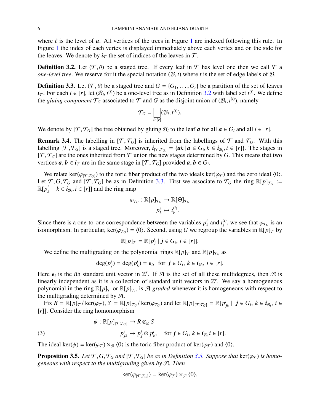where  $\ell$  is the level of  $\alpha$ . All vertices of the trees in Figure [1](#page-4-1) are indexed following this rule. In Figure [1](#page-4-1) the index of each vertex is displayed immediately above each vertex and on the side for the leaves. We denote by  $i<sub>T</sub>$  the set of indices of the leaves in  $T$ .

<span id="page-7-0"></span>**Definition 3.2.** Let  $(T, \theta)$  be a staged tree. If every leaf in T has level one then we call T a *one-level tree.* We reserve for it the special notation  $(B, t)$  where *t* is the set of edge labels of  $B$ .

<span id="page-7-1"></span>**Definition 3.3.** Let  $(\mathcal{T}, \theta)$  be a staged tree and  $G = \{G_1, \ldots, G_r\}$  be a partition of the set of leaves *i*<sub>T</sub>. For each *i* ∈ [*r*], let  $(B_i, t^{(i)})$  be a one-level tree as in Definition [3.2](#page-7-0) with label set  $t^{(i)}$ . We define the *aluing component*  $T_{\Omega}$  associated to  $T$  and  $G$  as the disjoint upion of  $(B, t^{(i)})$  namely the *gluing component*  $T_G$  associated to  $T$  and  $G$  as the disjoint union of  $(\mathcal{B}_i, t^{(i)})$ , namely

$$
\mathcal{T}_G = \bigsqcup_{i \in [r]} (\mathcal{B}_i, t^{(i)}).
$$

We denote by  $[\mathcal{T}, \mathcal{T}_G]$  the tree obtained by gluing  $\mathcal{B}_i$  to the leaf *a* for all  $a \in G_i$  and all  $i \in [r]$ .

**Remark 3.4.** The labelling in  $[T, T_G]$  is inherited from the labellings of T and  $T_G$ . With this labelling  $[T, \mathcal{T}_G]$  is a staged tree. Moreover,  $i_{[T, \mathcal{T}_G]} = \{ak \mid a \in G_i, k \in i_{\mathcal{B}_i}, i \in [r]\}$ . The stages in  $[T, \mathcal{T}_G]$  are the ones inherited from  $\mathcal{T}$  union the new stages determined by  $G$ . This means that two  $[T, \mathcal{T}_G]$  are the ones inherited from  $\mathcal T$  union the new stages determined by *G*. This means that two vertices  $a, b \in i_{\mathcal{T}}$  are in the same stage in  $[\mathcal{T}, \mathcal{T}_G]$  provided  $a, b \in G_i$ .

We relate ker( $\varphi_{[T, \mathcal{T}_G]}$ ) to the toric fiber product of the two ideals ker( $\varphi_T$ ) and the zero ideal  $\langle 0 \rangle$ . Let  $\mathcal{T}, G, \mathcal{T}_G$  and  $[\mathcal{T}, \mathcal{T}_G]$  be as in Definition [3.3.](#page-7-1) First we associate to  $\mathcal{T}_G$  the ring  $\mathbb{R}[p]_{\mathcal{T}_G} := \mathbb{R}[p] \cup \{k \in \mathbf{i}_G, i \in [r]\}$  and the ring man  $\mathbb{R}[p_{l}^{i}]$  $\mathbf{i}_{k}$  |  $k \in \mathbf{i}_{\mathcal{B}_i}, \mathbf{i} \in [r]$ ] and the ring map

$$
\varphi_{\mathcal{T}_G}: \mathbb{R}[p]_{\mathcal{T}_G} \to \mathbb{R}[\Theta]_{\mathcal{T}_G}
$$

$$
p_k^i \mapsto t_k^{(i)}.
$$

Since there is a one-to-one correspondence between the variables  $p_i^i$  $\frac{i}{k}$  and  $t_k^{(i)}$ <sup>(*i*</sup>), we see that  $\varphi_{\mathcal{T}_G}$  is an  $\varphi$  variables in  $\mathbb{R}[n]$ <sub>c</sub> by isomorphism. In particular, ker( $\varphi_{T_G}$ ) =  $\langle 0 \rangle$ . Second, using *G* we regroup the variables in  $\mathbb{R}[p]_{\mathcal{T}}$  by

$$
\mathbb{R}[p]_{\mathcal{T}} = \mathbb{R}[p_j^i \mid j \in G_i, i \in [r]].
$$

We define the multigrading on the polynomial rings  $\mathbb{R}[p]_{\mathcal{T}}$  and  $\mathbb{R}[p]_{\mathcal{T}_G}$  as

$$
\deg(p_j^i) = \deg(p_k^i) = \boldsymbol{e}_i, \text{ for } \boldsymbol{j} \in G_i, k \in \boldsymbol{i}_{\mathcal{B}_i}, i \in [r].
$$

Here  $e_i$  is the *i*th standard unit vector in  $\mathbb{Z}^r$ . If  $\mathcal A$  is the set of all these multidegrees, then  $\mathcal A$  is linearly independent as it is a collection of standard unit vectors in  $\mathbb{Z}^r$ . We say a homogeneous polynomial in the ring  $\mathbb{R}[p]_{\mathcal{T}}$  or  $\mathbb{R}[p]_{\mathcal{T}_G}$  is A-*graded* whenever it is homogeneous with respect to the multigrading determined by  $\mathcal{A}$ .

Fix  $R = \mathbb{R}[p]_{\mathcal{T}}$  / ker( $\varphi_{\mathcal{T}}$ ),  $S = \mathbb{R}[p]_{\mathcal{T}_G}$  / ker( $\varphi_{\mathcal{T}_G}$ ) and let  $\mathbb{R}[p]_{[\mathcal{T},\mathcal{T}_G]} = \mathbb{R}[p]$ <br>in Consider the ring homomorphism  $j_k$ |  $j \in G_i$ ,  $k \in i_{\mathcal{B}_i}$ ,  $i \in$ [*r*]]. Consider the ring homomorphism

(3) 
$$
\psi : \mathbb{R}[p]_{[\mathcal{T}, \mathcal{T}_G]} \to R \otimes_{\mathbb{R}} S \n p^i_{jk} \mapsto \overline{p^i_j} \otimes \overline{p^i_k}, \quad \text{for } j \in G_i, k \in i_{\mathcal{B}_i} i \in [r].
$$

The ideal ker( $\psi$ ) = ker( $\varphi_{\tau}$ ) ×  $\pi$   $\langle 0 \rangle$  is the toric fiber product of ker( $\varphi_{\tau}$ ) and  $\langle 0 \rangle$ .

<span id="page-7-2"></span>**Proposition 3.5.** *Let*  $\mathcal{T}, G, \mathcal{T}_G$  *and*  $[\mathcal{T}, \mathcal{T}_G]$  *be as in Definition [3.3.](#page-7-1) Suppose that* ker( $\varphi_{\mathcal{T}}$ ) *is homogeneous with respect to the multigrading given by* A*. Then*

$$
\ker(\varphi_{[\mathcal{T},\mathcal{T}_G]}) = \ker(\varphi_{\mathcal{T}}) \times_{\mathcal{A}} \langle 0 \rangle.
$$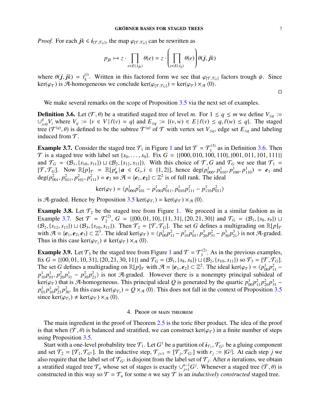*Proof.* For each  $jk \in i_{[T, \mathcal{T}_G]}$ , the map  $\varphi_{[T, \mathcal{T}_G]}$  can be rewritten as

$$
p_{jk} \mapsto z \cdot \prod_{e \in E(\lambda_{jk})} \theta(e) = z \cdot \left( \prod_{e \in E(\lambda_j)} \theta(e) \right) \theta(j, jk)
$$

where  $\theta(j, jk) = t_k^{(i)}$ <br>ker( $\theta \geq 0$ ) is  $\theta$ -homog <sup>(*i*</sup>). Written in this factored form we see that  $\varphi_{[T, \mathcal{T}_G]}$  factors trough  $\psi$ . Since  $\alpha_{\text{open}}$  superious we conclude  $\ker((\alpha_{\text{max}}) - \ker((\alpha_{\text{max}}) \times \pi / 0)$ ker( $\varphi_{\tau}$ ) is A-homogeneous we conclude ker( $\varphi_{[\tau,\tau_{G}]}$ ) = ker( $\varphi_{\tau}$ ) × <sub>A</sub> $\langle 0 \rangle$ .

 $\Box$ 

We make several remarks on the scope of Proposition [3.5](#page-7-2) via the next set of examples.

<span id="page-8-1"></span>**Definition 3.6.** Let  $(T, \theta)$  be a stratified staged tree of level *m*. For  $1 \le q \le m$  we define  $V_{\le q} :=$ ∪ *q <sup>q</sup>*</sup>/*V<sub>i</sub>* where *V<sub>q</sub>* := {*v* ∈ *V* |  $\ell(v) = q$ } and  $E_{\leq q} := \{(v, w) \in E | \ell(v) \leq q, \ell(w) \leq q\}$ . The staged  $\Theta$  ( $\mathcal{T}^{(q)}$ )  $\Theta$ ) is defined to be the subtree  $\mathcal{T}^{(q)}$  of  $\mathcal{T}$  with vertex set *V* adge set *F* a tree ( $\mathcal{T}^{(q)}$ ,  $\theta$ ) is defined to be the subtree  $\mathcal{T}^{(q)}$  of  $\mathcal T$  with vertex set  $V_{\leq q}$ , edge set  $E_{\leq q}$  and labeling induced from  $\mathcal T$ induced from  $\mathcal{T}$ .

<span id="page-8-2"></span>**Example 3.7.** Consider the staged tree  $\mathcal{T}_1$  $\mathcal{T}_1$  in Figure 1 and let  $\mathcal{T} = \mathcal{T}_1^{(3)}$  $1^{(3)}$  as in Definition [3.6.](#page-8-1) Then  $\mathcal{T}$  is a staged tree with label set { $s_0$ , ...,  $s_9$ }. Fix  $G = \{ \{000, 010, 100, 110\}, \{001, 011, 101, 111\} \}$ and  $\mathcal{T}_G = (\mathcal{B}_1, \{s_{10}, s_{11}\}) \sqcup (\mathcal{B}_2, \{s_{12}, s_{13}\})$ . With this choice of  $\mathcal{T}, G$  and  $\mathcal{T}_G$  we see that  $\mathcal{T}_1 =$  $[T, \mathcal{T}_G]$ . Now  $\mathbb{R}[p]_{\mathcal{T}} = \mathbb{R}[p_a^i | a \in G_i, i \in \{1, 2\}]$ , hence  $\deg(p_{000}^1, p_{010}^1, p_{100}^1, p_{110}^1) = e_1$  and  $\deg(p_1^2, p_1^2, p_1^2, p_1^2, p_1^2, p_1^2, p_1^2, p_1^2, p_1^2, p_1^2, p_1^2, p_1^2, p_1^2, p_1^2, p_1^2, p_1^2, p_1$ deg( $p_{001}^2$ ,  $p_{011}^2$ ,  $p_{101}^2$ ,  $p_{111}^2$ ) =  $e_2$  so  $\mathcal{A} = \{e_1, e_2\} \subset \mathbb{Z}^2$  is of full rank. The ideal

$$
\ker(\varphi_{\mathcal{T}}) = \langle p_{000}^1 p_{101}^2 - p_{100}^1 p_{011}^2, p_{010}^1 p_{111}^2 - p_{110}^1 p_{011}^2 \rangle
$$

is A-graded. Hence by Proposition [3.5](#page-7-2) ker( $\varphi_{\tau_1}$ ) = ker( $\varphi_{\tau}$ ) ×  $\pi$   $\langle 0 \rangle$ .

**Example 3.8.** Let  $\mathcal{T}_2$  be the staged tree from Figure [1.](#page-4-1) We proceed in a similar fashion as in Example [3.7.](#page-8-2) Set  $\mathcal{T} = \mathcal{T}_2^{(2)}$  $\mathcal{T}_2^{(2)}$ ,  $G = \{ \{00, 01, 10\}, \{11, 31\}, \{20, 21, 30\} \}$  and  $\mathcal{T}_G = (\mathcal{B}_1, \{s_8, s_9\}) \sqcup$ <br>(iii) Then  $\mathcal{T}_2 = [\mathcal{T}, \mathcal{T}_G]$  The set G defines a multiorading on  $\mathbb{R}[n]_{\mathcal{T}_2}$  $(\mathcal{B}_2, \{s_{12}, s_{13}\}) \sqcup (\mathcal{B}_3, \{s_{10}, s_{11}\})$ . Then  $\mathcal{T}_2 = [\mathcal{T}, \mathcal{T}_G]$ . The set *G* defines a multigrading on  $\mathbb{R}[p]_{\mathcal{T}}$ with  $\mathcal{A} = \{e_1, e_2, e_3\} \subset \mathbb{Z}^3$ . The ideal ker( $\varphi_{\mathcal{T}}$ ) =  $\langle p_{00}^1 p_{11}^2 - p_{10}^1 p_{01}^1, p_{20}^3 p_{21}^2 - p_{30}^3 p_{21}^3 \rangle$  is not  $\mathcal{A}$ -graded.<br>Thus in this case ker( $\varphi_{\mathcal{T}}$ )  $\neq$  ker( $\varphi_{\mathcal{T}}$ ) × Thus in this case  $\ker(\varphi_{\tau_2}) \neq \ker(\varphi_{\tau}) \times_{\mathcal{A}} \langle 0 \rangle$ .

**Example 3.9.** Let  $\mathcal{T}_3$  be the staged tree from Figure [1](#page-4-1) and  $\mathcal{T} = \mathcal{T}_3^{(2)}$  $3^{(2)}$ . As in the previous examples, fix  $G = \{(00, 01, 10, 31), (20, 21, 30, 11)\}$  and  $\mathcal{T}_G = (\mathcal{B}_1, \{s_8, s_9\}) \sqcup (\mathcal{B}_2, \{s_{10}, s_{11}\})$  so  $\mathcal{T}_3 = [\mathcal{T}, \mathcal{T}_G]$ . The set *G* defines a multigrading on  $\mathbb{R}[p]_{\mathcal{T}}$  with  $\mathcal{A} = \{e_1, e_2\} \subset \mathbb{Z}^2$ . The ideal ker( $\varphi_{\mathcal{T}}$ ) =  $\langle p_{00}^1 p_{11}^2 - p_{11}^1 p_1^2 - p_{11}^1 p_2^2 - p_{11}^1 - p_{11}^2 p_1^2 \rangle$  is not *A*-graded. However there  $p_{10}^1 p_{01}^1, p_{20}^2 p_{31}^1 - p_{30}^2 p_{21}^2$  is not A-graded. However there is a nonempty principal subideal of  $ker(\rho_{\infty})$  that is A-homogeneous. This principal ideal *Q* is generated by the quartic  $p_1^1, p_2^2, p_3^2, p$  $ker(\varphi_{\mathcal{T}})$  that is A-homogeneous. This principal ideal *Q* is generated by the quartic  $p_{00}^1 p_{11}^2 p_{20}^2 p_{31}^1 - p_{11}^1 p_{12}^2 p_{21}^2$ . In this case ker( $(\varphi_{\mathcal{T}}) = Q \times \pi$  (0). This does not fall in the context of  $p_{01}^1 p_{10}^1 p_{21}^2 p_{30}^2$ . In this case ker( $\varphi_{\tau_3}$ ) =  $Q \times_{\mathcal{A}} \langle 0 \rangle$ . This does not fall in the context of Proposition [3.5](#page-7-2) since ker( $\varphi_{\tau_3}$ ) + ker( $\varphi_{\tau_3}$ )  $\times_{\mathcal{A}} \langle 0 \rangle$ since ker( $\varphi_{\tau_3}$ )  $\neq$  ker( $\varphi_{\tau}$ )  $\times_{\mathcal{A}}$   $\langle 0 \rangle$ .

#### 4. Proof of main theorem

<span id="page-8-0"></span>The main ingredient in the proof of Theorem [2.5](#page-4-0) is the toric fiber product. The idea of the proof is that when ( $\mathcal{T}, \theta$ ) is balanced and stratified, we can construct ker( $\varphi_{\mathcal{T}}$ ) in a finite number of steps using Proposition [3.5.](#page-7-2)

Start with a one-level probability tree  $\mathcal{T}_1$ . Let  $G^1$  be a partition of  $i_{\mathcal{T}_1}, \mathcal{T}_{G^1}$  be a gluing component and set  $\mathcal{T}_2 = [\mathcal{T}_1, \mathcal{T}_{G^1}]$ . In the inductive step,  $\mathcal{T}_{j+1} = [\mathcal{T}_j, \mathcal{T}_{G^j}]$  with  $r_j := |G^j|$ . At each step *j* we also require that the label set of  $\mathcal{T}_{G^j}$  is disjoint from the label set of  $\mathcal{T}_{G^j}$ . Aft also require that the label set of  $\mathcal{T}_G$ *j* is disjoint from the label set of  $\mathcal{T}_j$ . After *n* iterations, we obtain a stratified staged tree  $\mathcal{T}_n$  whose set of stages is exactly  $\bigcup_{j=1}^{n-1} G^j$ . Whenever a staged tree  $(\mathcal{T}, \theta)$  is constructed in this way so  $\mathcal{T} - \mathcal{T}$  for some *n* we say  $\mathcal{T}$  is an *inductively constructed* constructed in this way so  $\mathcal{T} = \mathcal{T}_n$  for some *n* we say  $\mathcal{T}$  is an *inductively constructed* staged tree.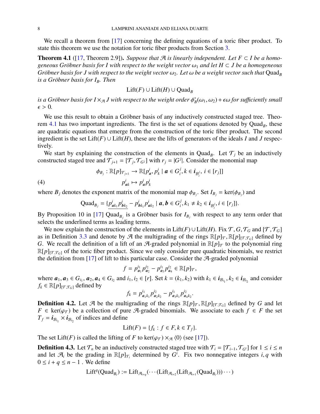We recall a theorem from [\[17\]](#page-18-0) concerning the defining equations of a toric fiber product. To state this theorem we use the notation for toric fiber products from Section [3.](#page-6-0)

<span id="page-9-0"></span>**Theorem 4.1** ([\[17,](#page-18-0) Theorem 2.9]). *Suppose that*  $\mathcal{A}$  *is linearly independent. Let*  $F \subset I$  *be a homogeneous Gröbner basis for I with respect to the weight vector*  $\omega_1$  *and let*  $H \subset J$  *be a homogeneous Gröbner basis for J with respect to the weight vector*  $\omega_2$ *. Let*  $\omega$  *be a weight vector such that* Quad<sub>*B</sub>*</sub> *is a Gröbner basis for I<sub>B</sub>. Then* 

$$
\text{Lift}(F) \cup \text{Lift}(H) \cup \text{Quad}_B
$$

*is a Gröbner basis for I*  $\times_{\mathcal{A}}$  *J with respect to the weight order*  $\phi_E^*$ <br> $\epsilon > 0$  $\kappa_B^*(\omega_1, \omega_2)$  +  $\epsilon \omega$  *for sufficiently small*  $\epsilon > 0$ .

We use this result to obtain a Gröbner basis of any inductively constructed staged tree. Theorem  $4.1$  has two important ingredients. The first is the set of equations denoted by  $Quad_B$ , these are quadratic equations that emerge from the construction of the toric fiber product. The second ingredient is the set  $\text{Lift}(F) \cup \text{Lift}(H)$ , these are the lifts of generators of the ideals *I* and *J* respectively.

We start by explaining the construction of the elements in Quad<sub>B</sub>. Let  $\mathcal{T}_j$  be an inductively constructed staged tree and  $\mathcal{T}_{j+1} = [\mathcal{T}_j, \mathcal{T}_{G}^j]$  with  $r_j = |G^j|$ . Consider the monomial map

(4)  
\n
$$
\phi_{B_j}: \mathbb{R}[p]_{\mathcal{T}_{j+1}} \to \mathbb{R}[p^i_a, p^i_k \mid a \in G^j_i, k \in i_{\mathcal{B}^j_i}, i \in [r_j]]
$$
\n
$$
p^i_{ak} \mapsto p^i_a p^i_k
$$

where  $B_j$  denotes the exponent matrix of the monomial map  $\phi_{B_j}$ . Set  $I_{B_j} = \text{ker}(\phi_{B_j})$  and

$$
\text{Quad}_{B_j} = \{ \frac{p_{ak_1}^i p_{bk_2}^i}{p_{ak_2}^i} - p_{bk_1}^i p_{ak_2}^i \mid a, b \in G_i^j, k_1 \neq k_2 \in i_{B_i^j}, i \in [r_j] \}.
$$

By Proposition 10 in [\[17\]](#page-18-0) Quad<sub>B<sub>*j*</sub></sub> is a Gröbner basis for  $I_{B_j}$  with respect to any term order that selects the underlined terms as leading terms.

We now explain the construction of the elements in Lift(*F*) ∪ Lift(*H*). Fix  $\mathcal{T}, G, \mathcal{T}_G$  and [ $\mathcal{T}, \mathcal{T}_G$ ] as in Definition [3.3](#page-7-1) and denote by A the multigrading of the rings  $\mathbb{R}[p]_{\mathcal{T}}, \mathbb{R}[p]_{[\mathcal{T},\mathcal{T}_G]}$  defined by *G*. We recall the definition of a lift of an A-graded polynomial in  $\mathbb{R}[p]_{\mathcal{T}}$  to the polynomial ring  $\mathbb{R}[p]_{[\mathcal{T},\mathcal{T}_G]}$  of the toric fiber product. Since we only consider pure quadratic binomials, we restrict the definition from  $[17]$  of lift to this particular case. Consider the  $\mathcal{A}$ -graded polynomial

$$
f = p_{a_1}^{i_1} p_{a_2}^{i_2} - p_{a_3}^{i_1} p_{a_4}^{i_2} \in \mathbb{R}[p]_{\mathcal{T}},
$$

where  $a_1, a_3 \in G_{i_1}, a_2, a_4 \in G_{i_2}$  and  $i_1, i_2 \in [r]$ . Set  $k = (k_1, k_2)$  with  $k_1 \in i_{\mathcal{B}_{i_1}}, k_2 \in i_{\mathcal{B}_{i_2}}$  and consider  $f_i \in \mathbb{R}[\eta]$  $f_k \in \mathbb{R}[p]_{[\mathcal{T},\mathcal{T}_G]}$  defined by

$$
f_k = p_{a_1k_1}^{i_1} p_{a_2k_2}^{i_2} - p_{a_3k_1}^{i_1} p_{a_4k_2}^{i_2}
$$

**Definition 4.2.** Let A be the multigrading of the rings  $\mathbb{R}[p]_T$ ,  $\mathbb{R}[p]_T$ ,  $\mathbb{R}[p]_T$ ,  $\mathbb{R}[p]_T$ ,  $\mathbb{R}[p]_T$ ,  $\mathbb{R}[p]_T$ ,  $\mathbb{R}[p]_T$ ,  $\mathbb{R}[p]_T$ ,  $\mathbb{R}[p]_T$ ,  $\mathbb{R}[p]_T$ ,  $\mathbb{R}[p]_T$ ,  $\mathbb{R}[p]_$ *F* ∈ ker( $\varphi$ *T*) be a collection of pure A-graded binomials. We associate to each *f* ∈ *F* the set  $T_f = i_{\mathcal{B}_{i_1}} \times i_{\mathcal{B}_{i_2}}$  of indices and define

$$
Lift(F) = \{f_k : f \in F, k \in T_f\}.
$$

The set Lift(*F*) is called the lifting of *F* to ker( $\varphi_{\tau}$ ) ×  $\pi$   $\langle 0 \rangle$  (see [\[17\]](#page-18-0)).

**Definition 4.3.** Let  $\mathcal{T}_n$  be an inductively constructed staged tree with  $\mathcal{T}_i = [\mathcal{T}_{i-1}, \mathcal{T}_{G^i}]$  for  $1 \le i \le n$ and let  $\mathcal{A}_i$  be the grading in  $\mathbb{R}[p]_{\mathcal{T}_i}$  determined by  $G^i$ . Fix two nonnegative integers *i*, *q* with  $0 \le i + a \le n - 1$ . We define  $0 \leq i + q \leq n - 1$ . We define

$$
\text{Lift}^q(\text{Quad}_{B_i}) := \text{Lift}_{\mathcal{A}_{i+q}}(\cdots(\text{Lift}_{\mathcal{A}_{i+2}}(\text{Lift}_{\mathcal{A}_{i+1}}(\text{Quad}_{B_i})))\cdots)
$$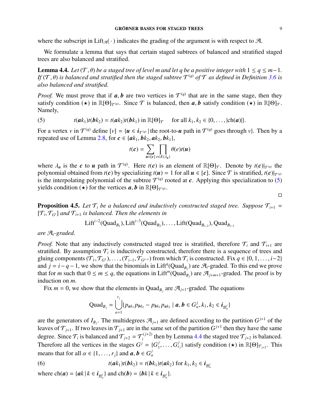where the subscript in Lift<sub>A</sub>( $\cdot$ ) indicates the grading of the argument is with respect to A.

We formulate a lemma that says that certain staged subtrees of balanced and stratified staged trees are also balanced and stratified.

<span id="page-10-1"></span>**Lemma 4.4.** *Let* ( $T$ , $\theta$ ) *be a staged tree of level m and let q be a positive integer with*  $1 \leq q \leq m-1$ *. If* ( $T$ , $\theta$ ) is balanced and stratified then the staged subtree  $T^{(q)}$  of  $T$  as defined in Definition [3.6](#page-8-1) is also balanced and stratified *also balanced and stratified.*

*Proof.* We must prove that if  $a, b$  are two vertices in  $\mathcal{T}^{(q)}$  that are in the same stage, then they satisfy condition  $(\star)$  in  $\mathbb{R}[\Theta]_{\mathcal{F}^{(q)}}$ . Since  $\mathcal{T}$  is balanced then  $a, b$  satisfy condition  $(\star)$  in satisfy condition ( $\star$ ) in  $\mathbb{R}[\Theta]_{\mathcal{T}(q)}$ . Since T is balanced, then *a*, *b* satisfy condition ( $\star$ ) in  $\mathbb{R}[\Theta]_{\mathcal{T}}$ . Namely,

<span id="page-10-0"></span>(5) 
$$
t(\mathbf{a}k_1)t(\mathbf{b}k_2) = t(\mathbf{a}k_2)t(\mathbf{b}k_1) \text{ in } \mathbb{R}[\Theta]_{\mathcal{T}}
$$
 for all  $k_1, k_2 \in \{0, ..., |\text{ch}(\mathbf{a})|\}.$ 

For a vertex *v* in  $\mathcal{T}^{(q)}$  define  $[v] = \{u \in i_{\mathcal{T}^{(q)}} |$  the root-to-*u* path in  $\mathcal{T}^{(q)}$  goes through *v*}. Then by a repeated use of Lemma [2.8,](#page-5-1) for  $c \in \{ak_1, bk_2, ak_2, bk_1\}$ ,

$$
t(c) = \sum_{u \in [c]} \prod_{e \in E(\lambda_u)} \theta(e)t(u)
$$

where  $\lambda_u$  is the *c* to *u* path in  $\mathcal{T}^{(q)}$ . Here  $t(c)$  is an element of  $\mathbb{R}[\Theta]_{\mathcal{T}}$ . Denote by  $t(c)|_{\mathcal{T}^{(q)}}$  the nolynomial obtained from  $t(c)$  by specializing  $t(u) = 1$  for all  $u \in [c]$ . Since  $\mathcal{T}$  is st polynomial obtained from  $t(c)$  by specializing  $t(u) = 1$  for all  $u \in [c]$ . Since  $\mathcal T$  is stratified,  $t(c)|_{\mathcal T^{(q)}}$ is the interpolating polynomial of the subtree  $\mathcal{T}^{(q)}$  rooted at *c*. Applying this specialization to [\(5\)](#page-10-0) yields condition ( $\star$ ) for the vertices *a*, *b* in  $\mathbb{R}[\Theta]_{\mathcal{T}(q)}$ .

 $\Box$ 

<span id="page-10-3"></span>**Proposition 4.5.** Let  $\mathcal{T}_i$  be a balanced and inductively constructed staged tree. Suppose  $\mathcal{T}_{i+1}$  =  $[T_i, T_{G^i}]$  *and*  $T_{i+1}$  *is balanced. Then the elements in* 

$$
Lifti-2(QuadB1), Lifti-3(QuadB2),..., Lift(QuadBi-2), QuadBi-1
$$

*are* A*i-graded.*

*Proof.* Note that any inductively constructed staged tree is stratified, therefore  $\mathcal{T}_i$  and  $\mathcal{T}_{i+1}$  are stratified. By assumption  $\mathcal{T}_i$  is inductively constructed, therefore there is a sequence of trees and gluing components  $(\mathcal{T}_1, \mathcal{T}_{G^1}), \ldots, (\mathcal{T}_{i-1}, \mathcal{T}_{G^{i-1}})$  from which  $\mathcal{T}_i$  is constructed. Fix  $q \in \{0, 1, \ldots, i-2\}$ <br>and  $i - i - q - 1$  we show that the binomials in Lift<sup>q</sup>(Ouad-) are  $\mathcal{A}_i$ -oraded. To this end we and  $j = i - q - 1$ , we show that the binomials in Lift<sup>q</sup>(Quad<sub>*B<sub>j</sub>*</sub>) are  $\mathcal{A}_i$ -graded. To this end we prove that for *m* such that  $0 \le m \le q$ , the equations in Lift<sup>*m*</sup>(Quad<sub>*B<sub>j</sub>*</sub>) are  $\mathcal{A}_{j+m+1}$ -graded. The proof is by induction on *m*.

Fix  $m = 0$ , we show that the elements in Quad<sub>B<sub>*j*</sub></sub> are  $\mathcal{A}_{j+1}$ -graded. The equations

$$
\text{Quad}_{B_j} = \bigcup_{\alpha=1}^{r_j} \{p_{a k_1} p_{b k_2} - p_{b k_1} p_{a k_2} \mid a, b \in G_{\alpha}^j, k_1, k_2 \in i_{B_{\alpha}^j}\}\
$$

are the generators of  $I_{B_j}$ . The multidegrees  $\mathcal{A}_{j+1}$  are defined according to the partition  $G^{j+1}$  of the leaves of  $\mathcal{T}_{j+1}$ . If two leaves in  $\mathcal{T}_{j+1}$  are in the same set of the partition  $G^{j+1}$  then they have the same degree. Since  $\mathcal{T}_i$  is balanced and  $\mathcal{T}_{j+2} = \mathcal{T}_i^{(j+2)}$  $\tau_i^{(j+2)}$  then by Lemma [4.4](#page-10-1) the staged tree  $\mathcal{T}_{j+2}$  is balanced. Therefore all the vertices in the stages  $G^j = \{G^j_1\}$  $\{G_i^j, \ldots, G_{r_j}^j\}$  satisfy condition  $(\star)$  in  $\mathbb{R}[\Theta]_{\mathcal{T}_{j+2}}$ . This means that for all  $\alpha \in \{1, ..., r_j\}$  and  $\boldsymbol{a}, \boldsymbol{b} \in G_{\alpha}^j$ 

<span id="page-10-2"></span>(6) 
$$
t(\boldsymbol{a}k_1)t(\boldsymbol{b}k_2) = t(\boldsymbol{b}k_1)t(\boldsymbol{a}k_2) \text{ for } k_1, k_2 \in \boldsymbol{i}_{\mathcal{B}_{\alpha}^j}
$$

where  $\text{ch}(a) = \{ak | k \in i_{\mathcal{B}_{q}^{j}}\}\$  and  $\text{ch}(b) = \{bk | k \in i_{\mathcal{B}_{q}^{j}}\}\$ .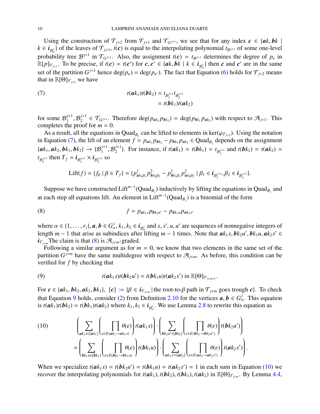Using the construction of  $\mathcal{T}_{j+2}$  from  $\mathcal{T}_{j+1}$  and  $\mathcal{T}_{G^{j+1}}$ , we see that for any index  $c \in \{ak, bk \mid \mathcal{T}_{G^{j+1}} \}$  $k \in i_{\mathcal{B}_\alpha^j}$  of the leaves of  $\mathcal{T}_{j+1}$ ,  $t(c)$  is equal to the interpolating polynomial  $t_{\mathcal{B}^{j+1}}$  of some one-level probability tree  $\mathcal{B}^{j+1}$  in  $\mathcal{T}_{G^{j+1}}$ . Also, the assignment  $t(c) = t_{\mathcal{B}^{j+1}}$  determines the degree of  $p_c$  in  $\mathbb{R}[p]_{\mathcal{T}_{j+1}}$ . To be precise, if  $t(c) = t(c')$  for  $c, c' \in \{ak, bk \mid k \in i_{\mathcal{B}_a^j}\}\)$  then  $c$  and  $c'$  are in the same set of the partition  $G^{j+1}$  hence  $deg(p_c) = deg(p_{c'})$ . The fact that Equation [\(6\)](#page-10-2) holds for  $\mathcal{T}_{j+2}$  means that in  $\mathbb{R}[\Theta]_{\mathcal{T}_{j+2}}$  we have

<span id="page-11-0"></span>(7) 
$$
t(\mathbf{a}k_1)t(\mathbf{b}k_2) = t_{\mathcal{B}_1^{j+1}}t_{\mathcal{B}_2^{j+1}} = t(\mathbf{b}k_1)t(\mathbf{a}k_2)
$$

for some  $\mathcal{B}_1^{j+1}$  $\mathcal{B}_2^{j+1}$ <br>he proof  $C_2^{j+1} \in \mathcal{T}_{G^{j+1}}$ . Therefore  $\deg(p_{ak_1} p_{bk_2}) = \deg(p_{bk_1} p_{ak_2})$  with respect to  $\mathcal{A}_{j+1}$ . This completes the proof for  $m = 0$ .

As a result, all the equations in Quad<sub>*B<sub>j</sub>*</sub> can be lifted to elements in ker( $\varphi_{\tau_{j+2}}$ ). Using the notation (7) the lift of an element  $f - n + p$ ,  $p + q$ ,  $\in$  Quad<sub>e</sub>, depends on the assignment in Equation [\(7\)](#page-11-0), the lift of an element  $f = p_{ak_1}p_{bk_2} - p_{bk_1}p_{ak_2} \in Quad_{B_j}$  depends on the assignment  ${a_k}_1, a_k_2, b_k_1, b_k_2$   $\rightarrow$   ${B_1^{j+1}, B_2^{j+1}}$  $2^{j+1}$ . For instance, if  $t(a k_1) = t(b k_1) = t_{\mathcal{B}_1^{j+1}}$  and  $t(b k_2) = t(a k_2) = t$  $t_{\mathcal{B}_2^{j+1}}$  then  $T_f = i_{\mathcal{B}_1^{j+1}} \times i_{\mathcal{B}_2^{j+1}}$  so

$$
\text{Lift}(f) = \{f_{\beta} \mid \beta \in T_f\} = \{p_{a k_1 \beta_1}^1 p_{b k_2 \beta_2}^2 - p_{b k_1 \beta_1}^1 p_{a k_2 \beta_2}^2 \mid \beta_1 \in i_{\mathcal{B}_1^{j+1}}, \beta_2 \in i_{\mathcal{B}_2^{j+1}}\}.
$$

Suppose we have constructed  $\text{Lift}^{m-1}(\text{Quad}_{B_j})$  inductively by lifting the equations in  $\text{Quad}_{B_j}$  and at each step all equations lift. An element in Lift*<sup>m</sup>*−<sup>1</sup> (Quad*<sup>B</sup><sup>j</sup>* ) is a binomial of the form

<span id="page-11-1"></span>(8) 
$$
f = p_{a k_1 s} p_{b k_2 u'} - p_{b k_1 u} p_{a k_2 s'}
$$

where  $\alpha \in \{1, \ldots, r_j\}$ ,  $\alpha, \mathbf{b} \in G^j_\alpha$ ,  $k_1, k_2 \in \mathbf{i}_{\mathcal{B}^j_\alpha}$  and  $s, s', u, u'$  are sequences of nonnegative integers of least  $\mathbf{a}^i \in \mathbf{b}$  and  $\mathbf{a}^j \in \mathbf{b}$  and  $\mathbf{a}^j \in \mathbf{b}$  and  $\mathbf{a}^j \in \mathbf{b$ length *m* − 1 that arise as subindices after lifting *m* − 1 times. Note that  $ak_1s$ ,  $bk_2u'$ ,  $bk_1u$ ,  $ak_2s' \in$ <br>  $\vec{a}$  The claim is that (8) is  $\vec{a}$  - - oraded  $i_{\tau_{i+m}}$  The claim is that [\(8\)](#page-11-1) is  $\mathcal{A}_{j+m}$ -graded.

Following a similar argument as for  $m = 0$ , we know that two elements in the same set of the partition  $G^{j+m}$  have the same multidegree with respect to  $\mathcal{A}_{j+m}$ . As before, this condition can be verified for *f* by checking that

<span id="page-11-2"></span>(9) 
$$
t(\boldsymbol{a}k_1s)t(\boldsymbol{b}k_2u')=t(\boldsymbol{b}k_1u)t(\boldsymbol{a}k_2s')\text{ in }\mathbb{R}[\Theta]\mathcal{T}_{j+m+1}.
$$

For  $c \in \{ak_1, bk_2, ak_2, bk_1\}$ ,  $[c] := \{\beta \in i_{\mathcal{T}_{j+m}} \mid \text{the root-to-}\beta \text{ path in } \mathcal{T}_{j+m} \text{ goes trough } c\}$ . To check that Equation 0 holds, consider (2) from Definition 2.10 for the vertices  $\sigma, \mathbf{b} \in C^j$ . This constitution that Equation [9](#page-11-2) holds, consider [\(2\)](#page-5-2) from Definition [2.10](#page-5-0) for the vertices  $a, b \in G_a^j$ . This equation<br>is  $t(a k_1) t(b k_2) - t(b k_1) t(a k_2)$  where  $k_1, k_2 \in \mathbf{i}$ . We use I emma 2.8 to rewrite this equation as is  $t(\mathbf{a}k_1)t(\mathbf{b}k_2) = t(\mathbf{b}k_1)t(\mathbf{a}k_2)$  where  $k_1, k_2 \in \mathbf{i}_{\mathcal{B}_\alpha^j}$ . We use Lemma [2.8](#page-5-1) to rewrite this equation as

<span id="page-11-3"></span>(10) 
$$
\left(\sum_{ak_1 s \in [ak_1]} \left( \prod_{e \in E(ak_1 \rightarrow ak_1 s)} \theta(e) \right) t(ak_1 s) \right) \cdot \left( \sum_{bk_2 u' \in [bk_2]} \left( \prod_{e \in E(bk_2 \rightarrow bk_2 u')} \theta(e) \right) t(bk_2 u') \right) = \left(\sum_{bk_1 u \in [bk_1]} \left( \prod_{e \in E(bk_1 \rightarrow bk_1 u)} \theta(e) \right) t(bk_1 u) \right) \cdot \left( \sum_{ak_2 s' \in [ak_2]} \left( \prod_{e \in E(ak_2 \rightarrow ak_2 s')} \theta(e) \right) t(ak_2 s') \right).
$$

When we specialize  $t(\mathbf{a}k_1 s) = t(\mathbf{b}k_2 u') = t(\mathbf{b}k_1 u) = t(\mathbf{a}k_2 s') = 1$  in each sum in Equation [\(10\)](#page-11-3) we recover the interpolating polynomials for  $t(a k_1)$ ,  $t(b k_2)$ ,  $t(b k_1)$ ,  $t(a k_2)$  in  $\mathbb{R}[\Theta]_{\mathcal{T}_{j+m}}$ . By Lemma [4.4,](#page-10-1)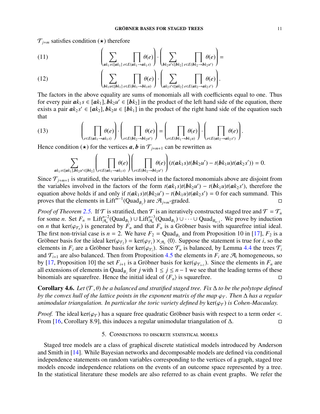$\mathcal{T}_{i+m}$  satisfies condition ( $\star$ ) therefore

(11) 
$$
\left(\sum_{ak_1s\in [ak_1]}\prod_{e\in E(ak_1\rightarrow ak_1s)}\theta(e)\right)\cdot\left(\sum_{bk_2u'\in [bk_2]}\prod_{e\in E(bk_2\rightarrow bk_2u')} \theta(e)\right)=
$$

(12) 
$$
\left(\sum_{\boldsymbol{b}_{k_1}\boldsymbol{u}\in[\boldsymbol{b}_{k_1}]}\prod_{\boldsymbol{e}\in E(\boldsymbol{b}_{k_1}\rightarrow\boldsymbol{b}_{k_1\boldsymbol{u}})}\theta(\boldsymbol{e})\right)\cdot\left(\sum_{\boldsymbol{a}_{k_2}\boldsymbol{s}'\in[\boldsymbol{a}_{k_2}]} \prod_{\boldsymbol{e}\in E(\boldsymbol{a}_{k_2}\rightarrow\boldsymbol{a}_{k_2\boldsymbol{s}'})}\theta(\boldsymbol{e})\right).
$$

The factors in the above equality are sums of monomials all with coefficients equal to one. Thus for every pair  $ak_1 s \in [ak_1]$ ,  $bk_2 u' \in [bk_2]$  in the product of the left hand side of the equation, there exists a pair  $ak_2 s' \in [ak_1]$ ,  $bk_2 u \in [bk_1]$  in the product of the right hand side of the equation such exists a pair  $ak_2 s' \in [ak_2]$ ,  $bk_2 u \in [bk_1]$  in the product of the right hand side of the equation such that that

(13) 
$$
\left(\prod_{e \in E(a_{k_1} \to a_{k_1s})}\theta(e)\right) \cdot \left(\prod_{e \in E(b_{k_2} \to b_{k_2u'})}\theta(e)\right) = \left(\prod_{e \in E(b_{k_1} \to b_{k_1u})}\theta(e)\right) \cdot \left(\prod_{e \in E(a_{k_2} \to a_{k_2s'})}\theta(e)\right).
$$

Hence condition ( $\star$ ) for the vertices *a*, *b* in  $\mathcal{T}_{j+m+1}$  can be rewritten as

$$
\sum_{ak_1s\in [ak_1],bk_2u'\in [bk_2]}\left(\prod_{e\in E(ak_1\rightarrow ak_1s)}\theta(e)\right)\left(\prod_{e\in E(bk_2\rightarrow bk_2u')} \theta(e)\right)(t(ak_1s)t(bk_2u')-t(bk_1u)t(ak_2s'))=0.
$$

Since  $\mathcal{T}_{j+m+1}$  is stratified, the variables involved in the factored monomials above are disjoint from the variables involved in the factors of the form  $t(a k_1 s)t(b k_2 u') - t(b k_1 u)t(a k_2 s')$ , therefore the equation above holds if and only if  $t(a k_1 s)t(b k_2 u') - t(b k_1 u)t(a k_2 s') = 0$  for each summand. This proves that the elements in Lift<sup> $m-1$ </sup>(Quad<sub>*B<sub>j</sub></sub>*) are  $\mathcal{A}_{j+m}$ -graded.</sub>

*Proof of Theorem* [2.5.](#page-4-0) If  $\mathcal T$  is stratified, then  $\mathcal T$  is an iteratively constructed staged tree and  $\mathcal T = \mathcal T_n$ for some *n*. Set  $F_n = \text{Lift}_{\mathcal{A}_n}^{n-2}(\text{Quad}_{B_1}) \cup \text{Lift}_{\mathcal{A}_n}^{n-3}(\text{Quad}_{B_1}) \cup \cdots \cup \text{Quad}_{B_{n-1}}$ . We prove by induction on *n* that ker( $\varphi_{\tau_n}$ ) is generated by  $F_n$  and that  $F_n$  is a Gröbner basis with squarefree intial ideal.<br>The first non-trivial case is  $n-2$ . We have  $F_2$  – Quad- and from Proposition 10 in [17].  $F_2$  is a The first non-trivial case is  $n = 2$ . We have  $F_2 = \text{Quad}_{B_1}$  and from Proposition 10 in [\[17\]](#page-18-0),  $F_2$  is a Gröbner basis for the ideal ker( $\varphi_{\tau_2}$ ) = ker( $\varphi_{\tau_1}$ )  $\times_{\mathcal{A}_1}$   $\langle 0 \rangle$ . Suppose the statement is true for *i*, so the elements in *F* are a Gröbner basis for ker( $\varphi_{\tau_2}$ ). Since  $\tau$  is balanced by I e elements in  $F_i$  are a Gröbner basis for ker( $\varphi_{\tau_i}$ ). Since  $\mathcal{T}_n$  is balanced, by Lemma [4.4](#page-10-1) the trees  $\mathcal{T}_i$ <br>and  $\mathcal{T}_{i+1}$  are also balanced. Then from Proposition 4.5 the elements in  $F_i$  are  $\mathcal{F}_i$  homogen and  $\mathcal{T}_{i+1}$  are also balanced. Then from Proposition [4.5](#page-10-3) the elements in  $F_i$  are  $\mathcal{A}_i$  homogeneous, so by [\[17,](#page-18-0) Proposition 10] the set  $F_{i+1}$  is a Gröbner basis for  $\text{ker}(\varphi_{\tau_{i+1}})$ . Since the elements in  $F_n$  are all extensions of elements in Ouad<sub>r</sub> for *i* with  $1 \le i \le n-1$  we see that the leading terms of these all extensions of elements in Quad<sub>*B<sub>j</sub>*</sub> for *j* with  $1 \le j \le n - 1$  we see that the leading terms of these binomials are squarefree. Hence the initial ideal of  $\langle F_n \rangle$  is squarefree.

Corollary 4.6. *Let* (T, θ) *be a balanced and stratified staged tree. Fix* <sup>∆</sup> *to be the polytope defined by the convex hull of the lattice points in the exponent matrix of the map*  $\varphi_{\tau}$ *. Then*  $\Delta$  *has a regular unimodular triangulation. In particular the toric variety defined by ker(* $\varphi_T$ *) is Cohen-Macaulay.* 

*Proof.* The ideal ker( $\varphi_{\tau}$ ) has a square free quadratic Gröbner basis with respect to a term order <.<br>From [16. Corollary 8.9], this induces a regular unimodular triangulation of  $\Delta$ . From [\[16,](#page-18-5) Corollary 8.9], this induces a regular unimodular triangulation of ∆.

#### 5. Connections to discrete statistical models

<span id="page-12-0"></span>Staged tree models are a class of graphical discrete statistical models introduced by Anderson and Smith in [\[14\]](#page-18-3). While Bayesian networks and decomposable models are defined via conditional independence statements on random variables corresponding to the vertices of a graph, staged tree models encode independence relations on the events of an outcome space represented by a tree. In the statistical literature these models are also referred to as chain event graphs. We refer the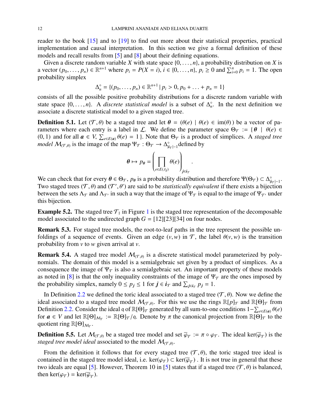reader to the book [\[15\]](#page-18-4) and to [\[19\]](#page-18-6) to find out more about their statistical properties, practical implementation and causal interpretation. In this section we give a formal definition of these models and recall results from [\[5\]](#page-17-6) and [\[8\]](#page-17-7) about their defining equations.

Given a discrete random variable *X* with state space  $\{0, \ldots, n\}$ , a probability distribution on *X* is a vector  $(p_0, ..., p_n) \in \mathbb{R}^{n+1}$  where  $p_i = P(X = i), i \in \{0, ..., n\}, p_i \ge 0$  and  $\sum_{i=0}^{n} p_i = 1$ . The open probability simplex probability simplex

$$
\Delta_n^{\circ} = \{ (p_0, \ldots, p_n) \in \mathbb{R}^{n+1} \mid p_i > 0, p_0 + \ldots + p_n = 1 \}
$$

consists of all the possible positive probability distributions for a discrete random variable with state space  $\{0, \ldots, n\}$ . A *discrete statistical model* is a subset of  $\Delta_n^{\circ}$ . In the next definition we associate a discrete statistical model to a given staged tree associate a discrete statistical model to a given staged tree.

<span id="page-13-1"></span>**Definition 5.1.** Let  $(\mathcal{T}, \theta)$  be a staged tree and let  $\theta = (\theta(e)) | \theta(e) \in \text{im}(\theta)$  be a vector of parameters where each entry is a label in L. We define the parameter space  $\Theta_{\mathcal{T}} := \{ \theta \mid \theta(e) \in$ (0, 1) and for all  $\mathbf{a} \in V$ ,  $\sum_{e \in E(\mathbf{a})} \theta(e) = 1$ . Note that  $\Theta_{\mathcal{T}}$  is a product of simplices. A *staged tree* model  $M_{\mathcal{F}}$  is the image of the man  $\Psi_{\mathcal{T}} : \Theta_{\mathcal{T}} \to \Lambda^{\circ}$  defined by *model*  $M_{(\mathcal{T}, \theta)}$  is the image of the map  $\Psi_{\mathcal{T}} : \Theta_{\mathcal{T}} \to \Delta_{|\mathcal{I}|}^{\circ}$  $\int_{|i_{\mathcal{T}}|-1}^{\circ}$ defined by

$$
\boldsymbol{\theta} \mapsto p_{\boldsymbol{\theta}} = \left(\prod_{e \in E(\lambda_j)} \theta(e)\right)_{j \in i_{\mathcal{T}}}
$$

We can check that for every  $\theta \in \Theta_{\mathcal{T}}$ ,  $p_{\theta}$  is a probability distribution and therefore  $\Psi(\Theta_{\mathcal{T}}) \subset \Delta_{\parallel}^{\circ}$ <br>Two staged trees ( $\mathcal{T}(\theta)$  and ( $\mathcal{T}'(\theta')$ ) are said to be *statistically equivalent* if there ex ∘<br>|*i⊤* |−1 · Two staged trees  $(T, \theta)$  and  $(T', \theta')$  are said to be *statistically equivalent* if there exists a bijection<br>between the sets  $\Lambda_{\sigma}$  and  $\Lambda_{\sigma}$  in such a way that the image of  $\Psi_{\sigma}$  is equal to the image of  $\Psi_{\sigma}$  between the sets  $\Lambda_{\mathcal{T}}$  and  $\Lambda_{\mathcal{T}}$  in such a way that the image of  $\Psi_{\mathcal{T}}$  is equal to the image of  $\Psi_{\mathcal{T}}$  under this bijection.

<span id="page-13-0"></span>**Example 5.2.** The staged tree  $\mathcal{T}_1$  $\mathcal{T}_1$  in Figure 1 is the staged tree representation of the decomposable model associated to the undirected graph  $G = [12][23][34]$  on four nodes.

Remark 5.3. For staged tree models, the root-to-leaf paths in the tree represent the possible unfoldings of a sequence of events. Given an edge  $(v, w)$  in T, the label  $\theta(v, w)$  is the transition probability from *v* to *w* given arrival at *v*.

**Remark 5.4.** A staged tree model  $\mathcal{M}_{(\mathcal{T}, \theta)}$  is a discrete statistical model parameterized by poly-<br>namials. The domain of this model is a semialgebraic ast given by a modust of simplicas. As a nomials. The domain of this model is a semialgebraic set given by a product of simplices. As a consequence the image of  $\Psi_{\mathcal{T}}$  is also a semialgebraic set. An important property of these models as noted in [\[8\]](#page-17-7) is that the only inequality constraints of the image of  $\Psi_{\mathcal{T}}$  are the ones imposed by the probability simplex, namely  $0 \le p_j \le 1$  for  $j \in i_{\mathcal{T}}$  and  $\sum_{j \in i_{\mathcal{T}}} p_j = 1$ .

In Definition [2.2](#page-3-2) we defined the toric ideal associated to a staged tree  $(\mathcal{T}, \theta)$ . Now we define the ideal associated to a staged tree model  $\mathcal{M}_{(\mathcal{T}, \theta)}$ . For this we use the rings  $\mathbb{R}[p]_{\mathcal{T}}$  and  $\mathbb{R}[\Theta]_{\mathcal{T}}$  from Definition [2.2.](#page-3-2) Consider the ideal q of  $\mathbb{R}[\Theta]_T$  generated by all sum-to-one conditions  $1 - \sum_{e \in E(a)} \theta(e)$ <br>for  $a \in V$  and let  $\mathbb{R}[\Theta]_T$ .  $\cdot \cdot = \mathbb{R}[\Theta]_T/a$ . Denote by  $\pi$  the canonical projection from  $\mathbb{R}[\Theta]$ for  $a \in V$  and let  $\mathbb{R}[\Theta]_{\mathcal{M}_{\mathcal{T}}} := \mathbb{R}[\Theta]_{\mathcal{T}}/q$ . Denote by  $\pi$  the canonical projection from  $\mathbb{R}[\Theta]_{\mathcal{T}}$  to the quotient ring  $\mathbb{R}[\Theta]_{\mathcal{M}}$ . quotient ring  $\mathbb{R}[\Theta]_{\mathcal{M}_\mathcal{T}}$ .

**Definition 5.5.** Let  $M_{(\mathcal{T}, \theta)}$  be a staged tree model and set  $\overline{\varphi}_{\mathcal{T}} := \pi \circ \varphi_{\mathcal{T}}$ . The ideal ker( $\overline{\varphi}_{\mathcal{T}}$ ) is the staged tree model ideal associated to the model  $M_{\mathcal{T}, \theta}$ . *staged tree model ideal* associated to the model  $\mathcal{M}_{(\mathcal{T}, \theta)}$ .

From the definition it follows that for every staged tree ( $\mathcal{T}, \theta$ ), the toric staged tree ideal is contained in the staged tree model ideal, i.e.  $\ker(\varphi_T) \subset \ker(\overline{\varphi}_T)$ . It is not true in general that these two ideals are equal [5]. However, Theorem 10 in [5] states that if a staged tree ( $\mathcal{T}(\theta)$ ) is balanced. two ideals are equal [\[5\]](#page-17-6). However, Theorem 10 in [5] states that if a staged tree  $(\mathcal{T}, \theta)$  is balanced, then ker( $\varphi_{\mathcal{T}}$ ) = ker( $\overline{\varphi}_{\mathcal{T}}$ ).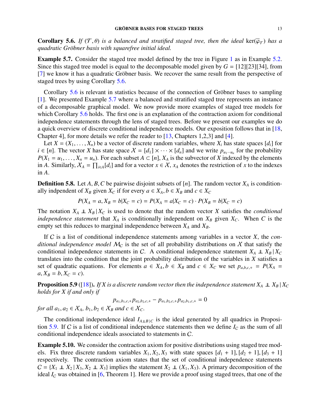<span id="page-14-0"></span>**Corollary 5.6.** *If*  $(T, \theta)$  *is a balanced and stratified staged tree, then the ideal ker*( $\overline{\varphi}_T$ ) *has a augdratic Gröbner hasis with squarefree initial ideal quadratic Gr¨obner basis with squarefree initial ideal.*

<span id="page-14-1"></span>**Example 5.7.** Consider the staged tree model defined by the tree in Figure [1](#page-4-1) as in Example [5.2.](#page-13-0) Since this staged tree model is equal to the decomposable model given by  $G = [12][23][34]$ , from  $[7]$  we know it has a quadratic Gröbner basis. We recover the same result from the perspective of staged trees by using Corollary [5.6.](#page-14-0)

Corollary [5.6](#page-14-0) is relevant in statistics because of the connection of Gröbner bases to sampling [\[1\]](#page-17-3). We presented Example [5.7](#page-14-1) where a balanced and stratified staged tree represents an instance of a decomposable graphical model. We now provide more examples of staged tree models for which Corollary [5.6](#page-14-0) holds. The first one is an explanation of the contraction axiom for conditional independence statements through the lens of staged trees. Before we present our examples we do a quick overview of discrete conditional independence models. Our exposition follows that in [\[18,](#page-18-1) Chapter 4], for more details we refer the reader to [\[13,](#page-18-7) Chapters 1,2,3] and [\[4\]](#page-17-8).

Let  $X = (X_1, \ldots, X_n)$  be a vector of discrete random variables, where  $X_i$  has state spaces  $[d_i]$  for *i* ∈ [*n*]. The vector *X* has state space  $X = [d_1] \times \cdots \times [d_n]$  and we write  $p_{u_1 \cdots u_n}$  for the probability  $P(X_1 = u_1, \ldots, X_n = u_n)$ . For each subset  $A \subset [n]$ ,  $X_A$  is the subvector of *X* indexed by the elements in *A*. Similarly,  $X_A = \prod_{i \in A} [d_i]$  and for a vector  $x \in X$ ,  $x_A$  denotes the restriction of *x* to the indexes in *A*.

**Definition 5.8.** Let *A*, *B*, *C* be pairwise disjoint subsets of [*n*]. The random vector  $X_A$  is conditionally indpendent of  $X_B$  given  $X_C$  if for every  $a \in X_A$ ,  $b \in X_B$  and  $c \in X_C$ 

$$
P(X_A = a, X_B = b | X_C = c) = P(X_A = a | X_C = c) \cdot P(X_B = b | X_C = c)
$$

The notation  $X_A \perp\!\!\!\perp X_B | X_C$  is used to denote that the random vector *X* satisfies the *conditional independence statement* that  $X_A$  is conditionally independent on  $X_B$  given  $X_C$ . When C is the empty set this reduces to marginal independence between *X<sup>A</sup>* and *XB*.

If C is a list of conditional independence statements among variables in a vector *X*, the *conditional independence model*  $M<sub>C</sub>$  is the set of all probability distributions on X that satisfy the conditional independence statements in C. A conditional independence statement  $X_A \perp X_B | X_C$ translates into the condition that the joint probability distribution of the variables in *X* satisfies a set of quadratic equations. For elements  $a \in X_A$ ,  $b \in X_B$  and  $c \in X_C$  we set  $p_{a,b,c,+} = P(X_A =$  $a, X_B = b, X_C = c$ .

<span id="page-14-2"></span>**Proposition 5.9** ([\[18\]](#page-18-1)). *If X is a discrete random vector then the independence statement*  $X_A \perp X_B | X_C$ *holds for X if and only if*

 $p_{a_1,b_1,c,+}p_{a_2,b_2,c,+} - p_{a_1,b_2,c,+}p_{a_2,b_1,c,+} = 0$ 

*for all*  $a_1, a_2 \in X_A$ ,  $b_1, b_2 \in X_B$  *and*  $c \in X_C$ .

The conditional independence ideal  $I_{A\perp B|C}$  is the ideal generated by all quadrics in Proposi-tion [5.9.](#page-14-2) If C is a list of conditional independence statements then we define  $I_c$  as the sum of all conditional independence ideals associated to statements in C.

Example 5.10. We consider the contraction axiom for positive distributions using staged tree models. Fix three discrete random variables  $X_1, X_2, X_3$  with state spaces  $[d_1 + 1], [d_2 + 1], [d_3 + 1]$ respectively. The contraction axiom states that the set of conditional independence statements  $C = \{X_1 \perp X_2 \mid X_3, X_2 \perp X_3\}$  implies the statement  $X_2 \perp (X_1, X_3)$ . A primary decomposition of the ideal  $I_c$  was obtained in [\[6,](#page-17-9) Theorem 1]. Here we provide a proof using staged trees, that one of the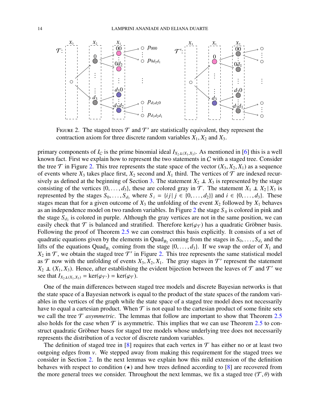

<span id="page-15-0"></span>FIGURE 2. The staged trees  $\mathcal T$  and  $\mathcal T'$  are statistically equivalent, they represent the contraction axiom for three discrete random variables  $X_1, X_2$  and  $X_3$ .

primary components of  $I_C$  is the prime binomial ideal  $I_{X_2\perp(X_1,X_3)}$ . As mentioned in [\[6\]](#page-17-9) this is a well<br>lineuus fost. First we evalgin how to represent the two statements in C with a staged tree. Consider known fact. First we explain how to represent the two statements in  $C$  with a staged tree. Consider the tree  $\mathcal T$  in Figure [2.](#page-15-0) This tree represents the state space of the vector  $(X_3, X_2, X_1)$  as a sequence of events where  $X_3$  takes place first,  $X_2$  second and  $X_1$  third. The vertices of  $\mathcal T$  are indexed recur-sively as defined at the beginning of Section [3.](#page-6-0) The statement  $X_2 \perp X_3$  is represented by the stage consisting of the vertices  $\{0, \ldots, d_3\}$ , these are colored gray in  $\mathcal{T}$ . The statement  $X_1 \perp X_2 | X_3$  is represented by the stages  $S_0, \ldots, S_d$ <sub>3</sub> where  $S_i = \{ij | j \in \{0, \ldots, d_2\}\}$  and  $i \in \{0, \ldots, d_3\}$ . These stages mean that for a given outcome of  $X_3$  the unfolding of the event  $X_2$  followed by  $X_1$  behaves as an independence model on two random variables. In Figure  $2$  the stage  $S_0$  is colored in pink and the stage  $S_{d_3}$  is colored in purple. Although the gray vertices are not in the same position, we can easily check that  $\mathcal T$  is balanced and stratified. Therefore ker( $\varphi_{\mathcal T}$ ) has a quadratic Gröbner basis. Following the proof of Theorem [2.5](#page-4-0) we can construct this basis explicitly. It consists of a set of quadratic equations given by the elements in Quad<sub>*B*2</sub> coming from the stages in  $S_0, \ldots, S_{d_3}$  and the lifts of the equations Quad<sub>re</sub> coming from the stage  $\{0, \ldots, d_3\}$ . If we swap the order of  $X_1$  and lifts of the equations  $Quad_{B_1}$  coming from the stage  $\{0, \ldots, d_3\}$ . If we swap the order of  $X_1$  and  $X_2$  in  $\mathcal T$  we obtain the staged tree  $\mathcal T'$  in Figure 2. This tree represents the same statistical model  $X_2$  in  $\mathcal T$ , we obtain the staged tree  $\mathcal T'$  in Figure [2.](#page-15-0) This tree represents the same statistical model as  $\mathcal{T}$  now with the unfolding of events  $X_3, X_2, X_1$ . The gray stages in  $\mathcal{T}'$  represent the statement  $X_2 \parallel (X_1, X_2)$ . Hence after establishing the evident bijection between the leaves of  $\mathcal{T}$  and  $\mathcal{T}'$  we  $X_2 \perp (X_1, X_3)$ . Hence, after establishing the evident bijection between the leaves of  $\mathcal T$  and  $\mathcal T'$  we see that  $I_{X_1 \times (X_2, X_3)} = \ker((\varphi_{\overline{X}})) = \ker((\varphi_{\overline{X}}))$ see that  $I_{X_2 \perp (X_1, X_3)} = \text{ker}(\varphi_{\mathcal{T}}) = \text{ker}(\varphi_{\mathcal{T}})$ .

One of the main differences between staged tree models and discrete Bayesian networks is that the state space of a Bayesian network is equal to the product of the state spaces of the random variables in the vertices of the graph while the state space of a staged tree model does not necessarily have to equal a cartesian product. When  $\mathcal T$  is not equal to the cartesian product of some finite sets we call the tree  $\mathcal T$  *asymmetric*. The lemmas that follow are important to show that Theorem [2.5](#page-4-0) also holds for the case when  $\mathcal T$  is asymmetric. This implies that we can use Theorem [2.5](#page-4-0) to construct quadratic Gröbner bases for staged tree models whose underlying tree does not necessarily represents the distribution of a vector of discrete random variables.

The definition of staged tree in [\[8\]](#page-17-7) requires that each vertex in  $\mathcal T$  has either no or at least two outgoing edges from *v*. We stepped away from making this requirement for the staged trees we consider in Section [2.](#page-3-0) In the next lemmas we explain how this mild extension of the definition behaves with respect to condition  $(\star)$  and how trees defined according to [\[8\]](#page-17-7) are recovered from the more general trees we consider. Throughout the next lemmas, we fix a staged tree  $(\mathcal{T}, \theta)$  with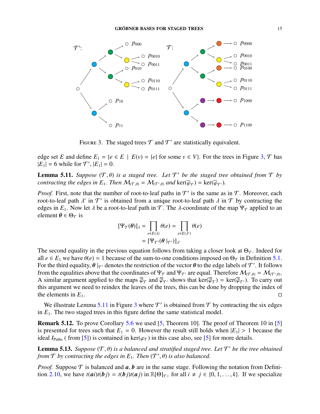

<span id="page-16-0"></span>FIGURE 3. The staged trees  $\mathcal T$  and  $\mathcal T'$  are statistically equivalent.

edge set *E* and define  $E_1 = \{e \in E \mid E(v) = \{e\} \text{ for some } v \in V\}$ . For the trees in Figure [3,](#page-16-0)  $\mathcal{T}$  has  $|E_1| = 6$  while for  $\mathcal{T}'$ ,  $|E_1| = 0$ .

<span id="page-16-1"></span>**Lemma 5.11.** *Suppose*  $(T, \theta)$  *is a staged tree. Let*  $T'$  *be the staged tree obtained from*  $T$  *by* contracting the edges in  $F$ . Then  $M_{\text{max}} = M_{\text{max}}$  and  $\ker(\overline{a}_{\text{max}}) = \ker(\overline{a}_{\text{max}})$ *contracting the edges in*  $E_1$ *. Then*  $M_{(\mathcal{T}, \theta)} = M_{(\mathcal{T}', \theta)}$  *and* ker( $\overline{\varphi}_{\mathcal{T}}$ ) = ker( $\overline{\varphi}_{\mathcal{T}'}$ )*.* 

*Proof.* First, note that the number of root-to-leaf paths in  $T'$  is the same as in  $T$ . Moreover, each root-to-leaf path  $\lambda'$  in  $\mathcal{T}'$  is obtained from a unique root-to-leaf path  $\lambda$  in  $\mathcal{T}$  by contracting the edges in  $F$ . Now let  $\lambda$  be a root-to-leaf path in  $\mathcal{T}$ . The *λ*-coordinate of the man  $\Psi_{\mathcal{T}}$  appl edges in  $E_1$ . Now let  $\lambda$  be a root-to-leaf path in  $\mathcal T$ . The  $\lambda$ -coordinate of the map  $\Psi_{\mathcal T}$  applied to an element  $\theta \in \Theta_{\mathcal{T}}$  is

$$
[\Psi_{\mathcal{T}}(\theta)]_{\lambda} = \prod_{e \in E(\lambda)} \theta(e) = \prod_{e \in E(\lambda')} \theta(e)
$$

$$
= [\Psi_{\mathcal{T}'}(\theta |_{\mathcal{T}'})]_{\lambda'}
$$

The second equality in the previous equation follows from taking a closer look at  $\Theta_{\mathcal{T}}$ . Indeed for all  $e \in E_1$  we have  $\theta(e) = 1$  because of the sum-to-one conditions imposed on  $\Theta_{\mathcal{T}}$  in Definition [5.1.](#page-13-1) For the third equality,  $\theta|_{\mathcal{T}'}$  denotes the restriction of the vector  $\theta$  to the edge labels of  $\mathcal{T}'$ . It follows<br>from the equalities above that the coordinates of  $\Psi_{\mathcal{T}}$  and  $\Psi_{\mathcal{T}'}$  are equal. Therefore from the equalities above that the coordinates of  $\Psi_T$  and  $\Psi_T$  are equal. Therefore  $\mathcal{M}_{(\mathcal{T},\theta)} = \mathcal{M}_{(\mathcal{T}',\theta)}$ . A similar argument applied to the maps  $\overline{\varphi}_T$  and  $\overline{\varphi}_T$ , shows that ker( $\overline{\varphi}_T$ ) = ker( $\overline{\varphi}_T$ ). To carry out this argument we need to reindex the leaves of the trees this can be done by dropping the index this argument we need to reindex the leaves of the trees, this can be done by dropping the index of the elements in  $E_1$ .

We illustrate Lemma [5.11](#page-16-1) in Figure [3](#page-16-0) where  $\mathcal{T}'$  is obtained from  $\mathcal{T}$  by contracting the six edges in  $E_1$ . The two staged trees in this figure define the same statistical model.

Remark 5.12. To prove Corollary [5.6](#page-14-0) we used [\[5,](#page-17-6) Theorem 10]. The proof of Theorem 10 in [\[5\]](#page-17-6) is presented for trees such that  $E_1 = 0$ . However the result still holds when  $|E_1| > 1$  because the ideal *I*<sub>Paths</sub> ( from [\[5\]](#page-17-6)) is contained in ker( $\varphi_{\tau}$ ) in this case also, see [5] for more details.

**Lemma 5.13.** *Suppose*  $(T, \theta)$  *is a balanced and stratified staged tree. Let*  $T'$  *be the tree obtained* from  $T$  *by contracting the edges in F. Then*  $(T' \theta)$  *is also balanced* from  $\mathcal T$  by contracting the edges in  $E_1$ . Then  $(\mathcal T', \theta)$  is also balanced.

*Proof.* Suppose  $\mathcal T$  is balanced and  $a, b$  are in the same stage. Following the notation from Defini-tion [2.10,](#page-5-0) we have  $t(ai)t(bj) = t(bj)t(aj)$  in  $\mathbb{R}[\Theta]_T$ , for all  $i \neq j \in \{0, 1, ..., k\}$ . If we specialize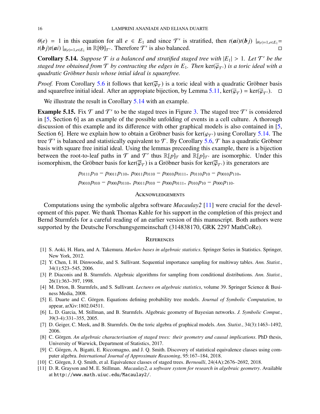$\theta(e) = 1$  in this equation for all  $e \in E_1$  and since  $\mathcal{T}'$  is stratified, then  $t(ai)t(bj) |_{\theta(e)=1, e \in E_1} = t(b_i)t(ai)|_{\theta(e)=1, e \in E_1}$  $t(\boldsymbol{b}_j)t(\boldsymbol{a}_i)|_{\theta(e)=1,e\in E_1}$  in  $\mathbb{R}[\Theta]_{\mathcal{T}}$ . Therefore  $\mathcal{T}'$  is also balanced.

<span id="page-17-10"></span>**Corollary 5.14.** *Suppose*  $\mathcal T$  *is a balanced and stratified staged tree with*  $|E_1| > 1$ *. Let*  $\mathcal T'$  *be the* staged tree obtained from  $\mathcal T$  by contracting the edges in  $F$ . Then ker $(\overline{\omega}_{\mathbf{z}})$  is a toric id *staged tree obtained from*  $\mathcal T$  *by contracting the edges in*  $E_1$ *. Then*  $\ker(\overline{\varphi}_{\mathcal T})$  *is a toric ideal with a quadratic Gr¨obner basis whose intial ideal is squarefree.*

*Proof.* From Corollary [5.6](#page-14-0) it follows that  $\ker(\overline{\varphi}_T)$  is a toric ideal with a quadratic Gröbner basis and squarefree initial ideal. After an appropriate bijection by Lemma 5.11  $\ker(\overline{\varphi}_T) = \ker(\overline{\varphi}_T)$ and squarefree initial ideal. After an appropiate bijection, by Lemma [5.11,](#page-16-1)  $\ker(\overline{\varphi}_T) = \ker(\overline{\varphi}_{T})$ .  $\Box$ 

We illustrate the result in Corollary [5.14](#page-17-10) with an example.

**Example 5.15.** Fix  $T$  and  $T'$  to be the staged trees in Figure [3.](#page-16-0) The staged tree  $T'$  is considered in [\[5,](#page-17-6) Section 6] as an example of the possible unfolding of events in a cell culture. A thorough discussion of this example and its difference with other graphical models is also contained in [\[5,](#page-17-6) Section 6]. Here we explain how to obtain a Gröbner basis for ker( $\varphi_{\tau}$ ) using Corollary [5.14.](#page-17-10) The tree  $T'$  is balanced and statistically equivalent to T. By Corollary [5.6,](#page-14-0) T has a quadratic Gröbner basis with square free initial ideal. Using the lemmas preceeding this example, there is a bijection between the root-to-leaf paths in  $T$  and  $T'$  thus  $\mathbb{R}[p]_T$  and  $\mathbb{R}[p]_T$  are isomorphic. Under this isomorphism, the Gröbner basis for ker( $\overline{\varphi}_{\mathcal{T}}$ ) is a Gröbner basis for ker( $\overline{\varphi}_{\mathcal{T}'}$ ) its generators are

*p*<sub>0111</sub>*p*<sub>10</sub> − *p*<sub>0011</sub>*p*<sub>110</sub>, *p*<sub>0011</sub>*p*<sub>0110</sub> − *p*<sub>0010</sub>*p*<sub>0111</sub>, *p*<sub>0110</sub>*p*<sub>10</sub> − *p*<sub>0010</sub>*p*<sub>110</sub>,  $p_{0010} p_{010} - p_{000} p_{0110}$ ,  $p_{0011} p_{010} - p_{000} p_{0111}$ ,  $p_{010} p_{10} - p_{000} p_{110}$ .

#### **ACKNOWLEDGEMENTS**

Computations using the symbolic algebra software *Macaulay2* [\[11\]](#page-17-11) were crucial for the development of this paper. We thank Thomas Kahle for his support in the completion of this project and Bernd Sturmfels for a careful reading of an earlier version of this manuscript. Both authors were supported by the Deutsche Forschungsgemeinschaft (314838170, GRK 2297 MathCoRe).

#### **REFERENCES**

- <span id="page-17-3"></span>[1] S. Aoki, H. Hara, and A. Takemura. *Markov bases in algebraic statistics*. Springer Series in Statistics. Springer, New York, 2012.
- <span id="page-17-1"></span>[2] Y. Chen, I. H. Dinwoodie, and S. Sullivant. Sequential importance sampling for multiway tables. *Ann. Statist.*, 34(1):523–545, 2006.
- <span id="page-17-0"></span>[3] P. Diaconis and B. Sturmfels. Algebraic algorithms for sampling from conditional distributions. *Ann. Statist.*, 26(1):363–397, 1998.
- <span id="page-17-8"></span>[4] M. Drton, B. Sturmfels, and S. Sullivant. *Lectures on algebraic statistics*, volume 39. Springer Science & Business Media, 2008.
- <span id="page-17-6"></span>[5] E. Duarte and C. Görgen. Equations defining probability tree models. *Journal of Symbolic Computation*, to appear, arXiv:1802.04511.
- <span id="page-17-9"></span>[6] L. D. Garcia, M. Stillman, and B. Sturmfels. Algebraic geometry of Bayesian networks. *J. Symbolic Comput.*, 39(3-4):331–355, 2005.
- <span id="page-17-2"></span>[7] D. Geiger, C. Meek, and B. Sturmfels. On the toric algebra of graphical models. *Ann. Statist.*, 34(3):1463–1492, 2006.
- <span id="page-17-7"></span>[8] C. Görgen. An algebraic characterisation of staged trees: their geometry and causal implications. PhD thesis, University of Warwick, Department of Statistics, 2017.
- <span id="page-17-5"></span>[9] C. Görgen, A. Bigatti, E. Riccomagno, and J. Q. Smith. Discovery of statistical equivalence classes using computer algebra. *International Journal of Approximate Reasoning*, 95:167–184, 2018.
- <span id="page-17-4"></span>[10] C. Görgen, J. Q. Smith, et al. Equivalence classes of staged trees. *Bernoulli*, 24(4A):2676–2692, 2018.
- <span id="page-17-11"></span>[11] D. R. Grayson and M. E. Stillman. *Macaulay2, a software system for research in algebraic geometry*. Available at http://www.math.uiuc.edu/Macaulay2/.